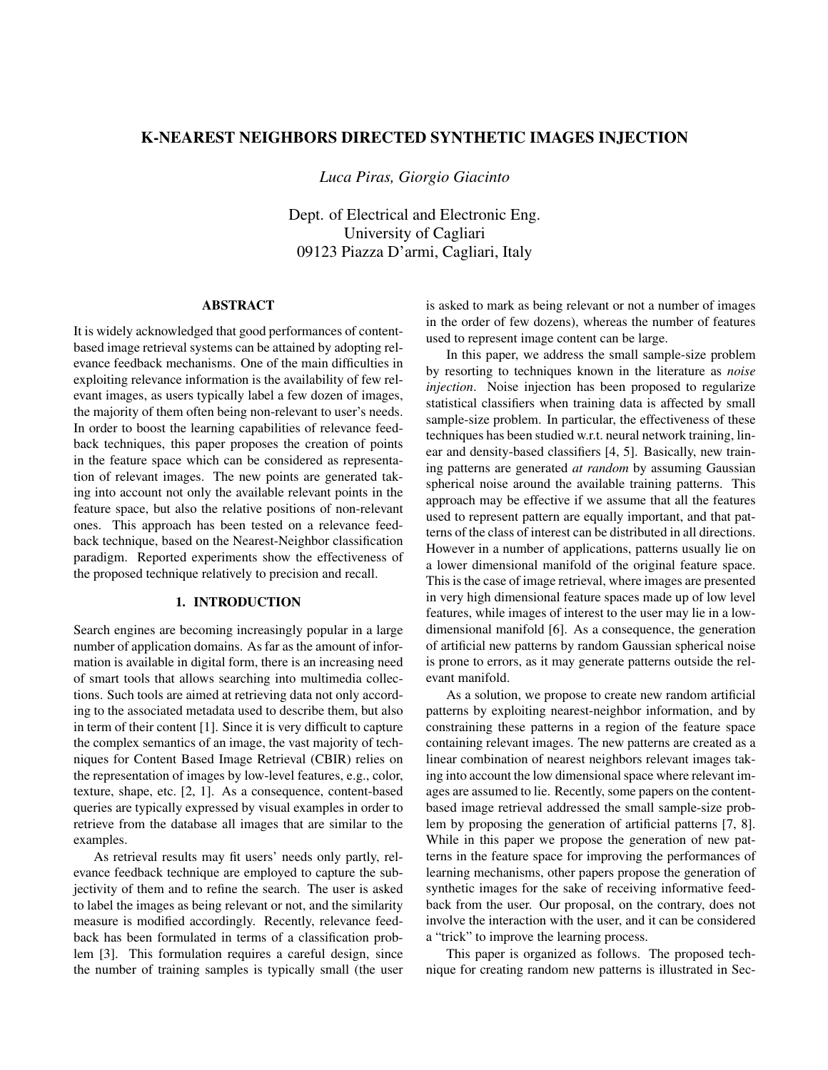# K-NEAREST NEIGHBORS DIRECTED SYNTHETIC IMAGES INJECTION

*Luca Piras, Giorgio Giacinto*

Dept. of Electrical and Electronic Eng. University of Cagliari 09123 Piazza D'armi, Cagliari, Italy

## ABSTRACT

It is widely acknowledged that good performances of contentbased image retrieval systems can be attained by adopting relevance feedback mechanisms. One of the main difficulties in exploiting relevance information is the availability of few relevant images, as users typically label a few dozen of images, the majority of them often being non-relevant to user's needs. In order to boost the learning capabilities of relevance feedback techniques, this paper proposes the creation of points in the feature space which can be considered as representation of relevant images. The new points are generated taking into account not only the available relevant points in the feature space, but also the relative positions of non-relevant ones. This approach has been tested on a relevance feedback technique, based on the Nearest-Neighbor classification paradigm. Reported experiments show the effectiveness of the proposed technique relatively to precision and recall.

## 1. INTRODUCTION

Search engines are becoming increasingly popular in a large number of application domains. As far as the amount of information is available in digital form, there is an increasing need of smart tools that allows searching into multimedia collections. Such tools are aimed at retrieving data not only according to the associated metadata used to describe them, but also in term of their content [1]. Since it is very difficult to capture the complex semantics of an image, the vast majority of techniques for Content Based Image Retrieval (CBIR) relies on the representation of images by low-level features, e.g., color, texture, shape, etc. [2, 1]. As a consequence, content-based queries are typically expressed by visual examples in order to retrieve from the database all images that are similar to the examples.

As retrieval results may fit users' needs only partly, relevance feedback technique are employed to capture the subjectivity of them and to refine the search. The user is asked to label the images as being relevant or not, and the similarity measure is modified accordingly. Recently, relevance feedback has been formulated in terms of a classification problem [3]. This formulation requires a careful design, since the number of training samples is typically small (the user is asked to mark as being relevant or not a number of images in the order of few dozens), whereas the number of features used to represent image content can be large.

In this paper, we address the small sample-size problem by resorting to techniques known in the literature as *noise injection*. Noise injection has been proposed to regularize statistical classifiers when training data is affected by small sample-size problem. In particular, the effectiveness of these techniques has been studied w.r.t. neural network training, linear and density-based classifiers [4, 5]. Basically, new training patterns are generated *at random* by assuming Gaussian spherical noise around the available training patterns. This approach may be effective if we assume that all the features used to represent pattern are equally important, and that patterns of the class of interest can be distributed in all directions. However in a number of applications, patterns usually lie on a lower dimensional manifold of the original feature space. This is the case of image retrieval, where images are presented in very high dimensional feature spaces made up of low level features, while images of interest to the user may lie in a lowdimensional manifold [6]. As a consequence, the generation of artificial new patterns by random Gaussian spherical noise is prone to errors, as it may generate patterns outside the relevant manifold.

As a solution, we propose to create new random artificial patterns by exploiting nearest-neighbor information, and by constraining these patterns in a region of the feature space containing relevant images. The new patterns are created as a linear combination of nearest neighbors relevant images taking into account the low dimensional space where relevant images are assumed to lie. Recently, some papers on the contentbased image retrieval addressed the small sample-size problem by proposing the generation of artificial patterns [7, 8]. While in this paper we propose the generation of new patterns in the feature space for improving the performances of learning mechanisms, other papers propose the generation of synthetic images for the sake of receiving informative feedback from the user. Our proposal, on the contrary, does not involve the interaction with the user, and it can be considered a "trick" to improve the learning process.

This paper is organized as follows. The proposed technique for creating random new patterns is illustrated in Sec-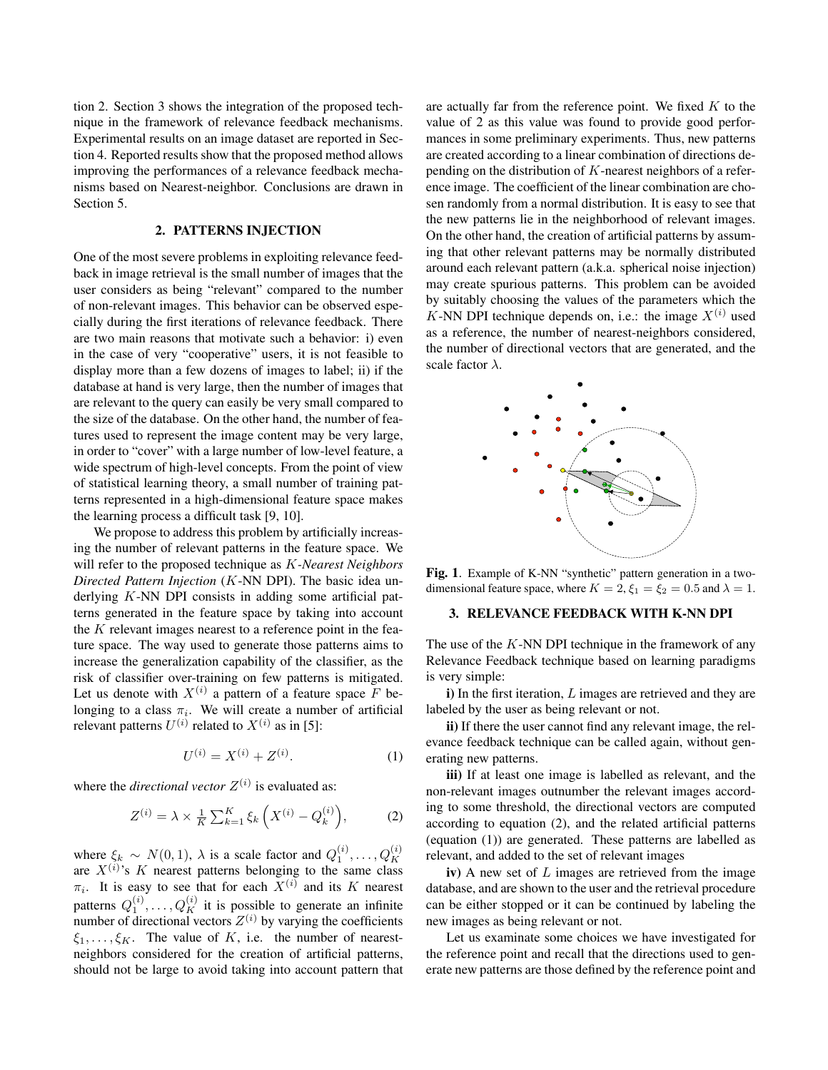tion 2. Section 3 shows the integration of the proposed technique in the framework of relevance feedback mechanisms. Experimental results on an image dataset are reported in Section 4. Reported results show that the proposed method allows improving the performances of a relevance feedback mechanisms based on Nearest-neighbor. Conclusions are drawn in Section 5.

### 2. PATTERNS INJECTION

One of the most severe problems in exploiting relevance feedback in image retrieval is the small number of images that the user considers as being "relevant" compared to the number of non-relevant images. This behavior can be observed especially during the first iterations of relevance feedback. There are two main reasons that motivate such a behavior: i) even in the case of very "cooperative" users, it is not feasible to display more than a few dozens of images to label; ii) if the database at hand is very large, then the number of images that are relevant to the query can easily be very small compared to the size of the database. On the other hand, the number of features used to represent the image content may be very large, in order to "cover" with a large number of low-level feature, a wide spectrum of high-level concepts. From the point of view of statistical learning theory, a small number of training patterns represented in a high-dimensional feature space makes the learning process a difficult task [9, 10].

We propose to address this problem by artificially increasing the number of relevant patterns in the feature space. We will refer to the proposed technique as K*-Nearest Neighbors Directed Pattern Injection* (K-NN DPI). The basic idea underlying K-NN DPI consists in adding some artificial patterns generated in the feature space by taking into account the  $K$  relevant images nearest to a reference point in the feature space. The way used to generate those patterns aims to increase the generalization capability of the classifier, as the risk of classifier over-training on few patterns is mitigated. Let us denote with  $X^{(i)}$  a pattern of a feature space F belonging to a class  $\pi_i$ . We will create a number of artificial relevant patterns  $U^{(i)}$  related to  $X^{(i)}$  as in [5]:

$$
U^{(i)} = X^{(i)} + Z^{(i)}.
$$
 (1)

where the *directional vector*  $Z^{(i)}$  is evaluated as:

$$
Z^{(i)} = \lambda \times \frac{1}{K} \sum_{k=1}^{K} \xi_k \left( X^{(i)} - Q_k^{(i)} \right), \tag{2}
$$

where  $\xi_k \sim N(0, 1)$ ,  $\lambda$  is a scale factor and  $Q_1^{(i)}$ , ...,  $Q_K^{(i)}$  are  $X^{(i)}$ 's  $K$  nearest patterns belonging to the same class  $\pi_i$ . It is easy to see that for each  $X^{(i)}$  and its K nearest patterns  $Q_1^{(i)}, \ldots, Q_K^{(i)}$  it is possible to generate an infinite number of directional vectors  $Z^{(i)}$  by varying the coefficients  $\xi_1, \ldots, \xi_K$ . The value of K, i.e. the number of nearestneighbors considered for the creation of artificial patterns, should not be large to avoid taking into account pattern that are actually far from the reference point. We fixed  $K$  to the value of 2 as this value was found to provide good performances in some preliminary experiments. Thus, new patterns are created according to a linear combination of directions depending on the distribution of  $K$ -nearest neighbors of a reference image. The coefficient of the linear combination are chosen randomly from a normal distribution. It is easy to see that the new patterns lie in the neighborhood of relevant images. On the other hand, the creation of artificial patterns by assuming that other relevant patterns may be normally distributed around each relevant pattern (a.k.a. spherical noise injection) may create spurious patterns. This problem can be avoided by suitably choosing the values of the parameters which the K-NN DPI technique depends on, i.e.: the image  $X^{(i)}$  used as a reference, the number of nearest-neighbors considered, the number of directional vectors that are generated, and the scale factor  $\lambda$ .



Fig. 1. Example of K-NN "synthetic" pattern generation in a twodimensional feature space, where  $K = 2$ ,  $\xi_1 = \xi_2 = 0.5$  and  $\lambda = 1$ .

#### 3. RELEVANCE FEEDBACK WITH K-NN DPI

The use of the  $K$ -NN DPI technique in the framework of any Relevance Feedback technique based on learning paradigms is very simple:

 $i)$  In the first iteration,  $L$  images are retrieved and they are labeled by the user as being relevant or not.

ii) If there the user cannot find any relevant image, the relevance feedback technique can be called again, without generating new patterns.

iii) If at least one image is labelled as relevant, and the non-relevant images outnumber the relevant images according to some threshold, the directional vectors are computed according to equation (2), and the related artificial patterns (equation (1)) are generated. These patterns are labelled as relevant, and added to the set of relevant images

iv) A new set of  $L$  images are retrieved from the image database, and are shown to the user and the retrieval procedure can be either stopped or it can be continued by labeling the new images as being relevant or not.

Let us examinate some choices we have investigated for the reference point and recall that the directions used to generate new patterns are those defined by the reference point and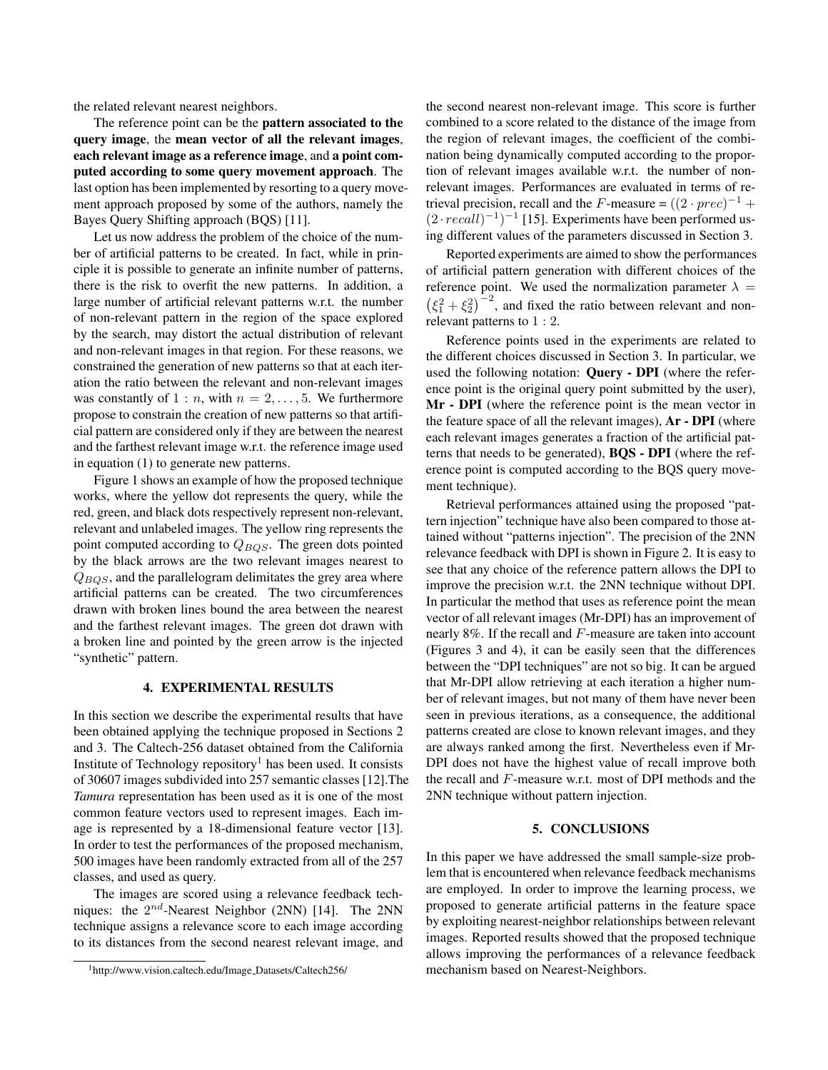the related relevant nearest neighbors.

The reference point can be the pattern associated to the query image, the mean vector of all the relevant images, each relevant image as a reference image, and a point computed according to some query movement approach. The last option has been implemented by resorting to a query movement approach proposed by some of the authors, namely the Bayes Query Shifting approach (BQS) [11].

Let us now address the problem of the choice of the number of artificial patterns to be created. In fact, while in principle it is possible to generate an infinite number of patterns, there is the risk to overfit the new patterns. In addition, a large number of artificial relevant patterns w.r.t. the number of non-relevant pattern in the region of the space explored by the search, may distort the actual distribution of relevant and non-relevant images in that region. For these reasons, we constrained the generation of new patterns so that at each iteration the ratio between the relevant and non-relevant images was constantly of  $1 : n$ , with  $n = 2, \ldots, 5$ . We furthermore propose to constrain the creation of new patterns so that artificial pattern are considered only if they are between the nearest and the farthest relevant image w.r.t. the reference image used in equation (1) to generate new patterns.

Figure 1 shows an example of how the proposed technique works, where the yellow dot represents the query, while the red, green, and black dots respectively represent non-relevant, relevant and unlabeled images. The yellow ring represents the point computed according to  $Q_{BOS}$ . The green dots pointed by the black arrows are the two relevant images nearest to  $Q_{BOS}$ , and the parallelogram delimitates the grey area where artificial patterns can be created. The two circumferences drawn with broken lines bound the area between the nearest and the farthest relevant images. The green dot drawn with a broken line and pointed by the green arrow is the injected "synthetic" pattern.

### 4. EXPERIMENTAL RESULTS

In this section we describe the experimental results that have been obtained applying the technique proposed in Sections 2 and 3. The Caltech-256 dataset obtained from the California Institute of Technology repository<sup>1</sup> has been used. It consists of 30607 images subdivided into 257 semantic classes [12].The *Tamura* representation has been used as it is one of the most common feature vectors used to represent images. Each image is represented by a 18-dimensional feature vector [13]. In order to test the performances of the proposed mechanism, 500 images have been randomly extracted from all of the 257 classes, and used as query.

The images are scored using a relevance feedback techniques: the  $2^{nd}$ -Nearest Neighbor (2NN) [14]. The 2NN technique assigns a relevance score to each image according to its distances from the second nearest relevant image, and the second nearest non-relevant image. This score is further combined to a score related to the distance of the image from the region of relevant images, the coefficient of the combination being dynamically computed according to the proportion of relevant images available w.r.t. the number of nonrelevant images. Performances are evaluated in terms of retrieval precision, recall and the F-measure =  $((2 \cdot prec)^{-1} +$  $(2 \cdot recall)^{-1})^{-1}$  [15]. Experiments have been performed using different values of the parameters discussed in Section 3.

Reported experiments are aimed to show the performances of artificial pattern generation with different choices of the reference point. We used the normalization parameter  $\lambda =$  $(\xi_1^2 + \xi_2^2)^{-2}$ , and fixed the ratio between relevant and nonrelevant patterns to 1 : 2.

Reference points used in the experiments are related to the different choices discussed in Section 3. In particular, we used the following notation: Query - DPI (where the reference point is the original query point submitted by the user), Mr - DPI (where the reference point is the mean vector in the feature space of all the relevant images), Ar - DPI (where each relevant images generates a fraction of the artificial patterns that needs to be generated), BQS - DPI (where the reference point is computed according to the BQS query movement technique).

Retrieval performances attained using the proposed "pattern injection" technique have also been compared to those attained without "patterns injection". The precision of the 2NN relevance feedback with DPI is shown in Figure 2. It is easy to see that any choice of the reference pattern allows the DPI to improve the precision w.r.t. the 2NN technique without DPI. In particular the method that uses as reference point the mean vector of all relevant images (Mr-DPI) has an improvement of nearly 8%. If the recall and F-measure are taken into account (Figures 3 and 4), it can be easily seen that the differences between the "DPI techniques" are not so big. It can be argued that Mr-DPI allow retrieving at each iteration a higher number of relevant images, but not many of them have never been seen in previous iterations, as a consequence, the additional patterns created are close to known relevant images, and they are always ranked among the first. Nevertheless even if Mr-DPI does not have the highest value of recall improve both the recall and F-measure w.r.t. most of DPI methods and the 2NN technique without pattern injection.

#### 5. CONCLUSIONS

In this paper we have addressed the small sample-size problem that is encountered when relevance feedback mechanisms are employed. In order to improve the learning process, we proposed to generate artificial patterns in the feature space by exploiting nearest-neighbor relationships between relevant images. Reported results showed that the proposed technique allows improving the performances of a relevance feedback mechanism based on Nearest-Neighbors.

<sup>1</sup>http://www.vision.caltech.edu/Image Datasets/Caltech256/